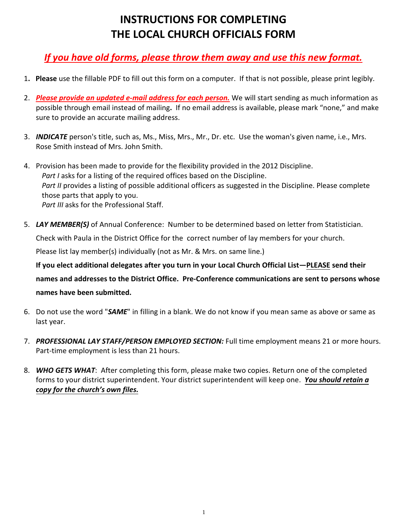## **INSTRUCTIONS FOR COMPLETING THE LOCAL CHURCH OFFICIALS FORM**

## *If you have old forms, please throw them away and use this new format.*

- 1**. Please** use the fillable PDF to fill out this form on a computer. If that is not possible, please print legibly.
- 2. *Please provide an updated e-mail address for each person.* We will start sending as much information as possible through email instead of mailing**.** If no email address is available, please mark "none," and make sure to provide an accurate mailing address.
- 3. *INDICATE* person's title, such as, Ms., Miss, Mrs., Mr., Dr. etc. Use the woman's given name, i.e., Mrs. Rose Smith instead of Mrs. John Smith.
- 4. Provision has been made to provide for the flexibility provided in the 2012 Discipline. *Part I* asks for a listing of the required offices based on the Discipline. *Part II* provides a listing of possible additional officers as suggested in the Discipline. Please complete those parts that apply to you. *Part III* asks for the Professional Staff.
- 5. *LAY MEMBER(S)* of Annual Conference: Number to be determined based on letter from Statistician. Check with Paula in the District Office for the correct number of lay members for your church. Please list lay member(s) individually (not as Mr. & Mrs. on same line.) **If you elect additional delegates after you turn in your Local Church Official List—PLEASE send their names and addresses to the District Office. Pre-Conference communications are sent to persons whose names have been submitted.**
- 6. Do not use the word "*SAME*" in filling in a blank. We do not know if you mean same as above or same as last year.
- 7. *PROFESSIONAL LAY STAFF/PERSON EMPLOYED SECTION:* Full time employment means 21 or more hours. Part-time employment is less than 21 hours.
- 8. *WHO GETS WHAT*: After completing this form, please make two copies. Return one of the completed forms to your district superintendent. Your district superintendent will keep one. *You should retain a copy for the church's own files.*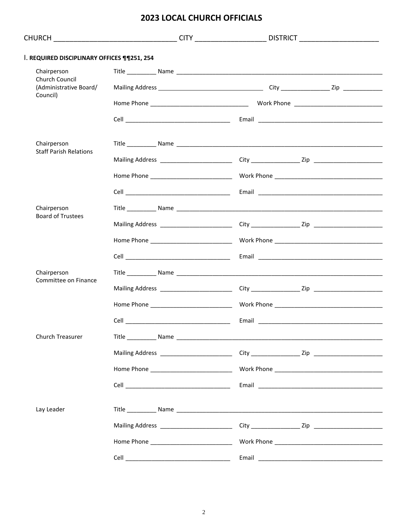## **2023 LOCAL CHURCH OFFICIALS**

|                                                      |                                         |                                 | CHURCH __________________________________CITY ______________________DISTRICT _______________________ |
|------------------------------------------------------|-----------------------------------------|---------------------------------|------------------------------------------------------------------------------------------------------|
| I. REQUIRED DISCIPLINARY OFFICES ¶¶251, 254          |                                         |                                 |                                                                                                      |
| Chairperson                                          |                                         |                                 |                                                                                                      |
| Church Council<br>(Administrative Board/<br>Council) |                                         |                                 |                                                                                                      |
|                                                      |                                         |                                 |                                                                                                      |
|                                                      |                                         |                                 |                                                                                                      |
| Chairperson                                          |                                         |                                 |                                                                                                      |
| <b>Staff Parish Relations</b>                        |                                         |                                 |                                                                                                      |
|                                                      |                                         |                                 |                                                                                                      |
|                                                      |                                         |                                 |                                                                                                      |
| Chairperson                                          |                                         |                                 |                                                                                                      |
| <b>Board of Trustees</b>                             |                                         |                                 |                                                                                                      |
|                                                      |                                         |                                 |                                                                                                      |
|                                                      |                                         |                                 |                                                                                                      |
| Chairperson                                          |                                         |                                 |                                                                                                      |
| Committee on Finance                                 |                                         |                                 |                                                                                                      |
|                                                      |                                         |                                 |                                                                                                      |
|                                                      |                                         |                                 |                                                                                                      |
| Church Treasurer                                     |                                         |                                 |                                                                                                      |
|                                                      |                                         |                                 |                                                                                                      |
|                                                      |                                         |                                 |                                                                                                      |
|                                                      |                                         |                                 |                                                                                                      |
| Lay Leader                                           |                                         |                                 |                                                                                                      |
|                                                      | Mailing Address _______________________ |                                 |                                                                                                      |
|                                                      |                                         |                                 |                                                                                                      |
|                                                      | <b>Cell Cell</b>                        | Email <b>Exercise Structure</b> |                                                                                                      |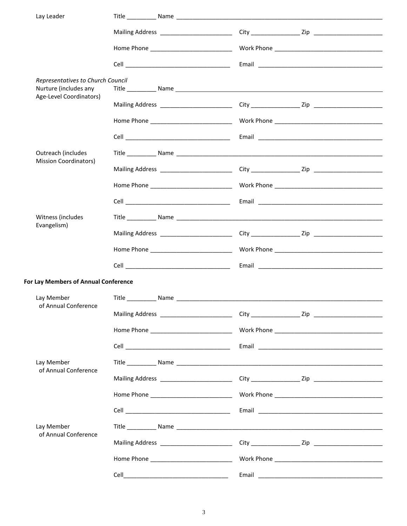|                                                                                       | Lay Leader                           |      |                                                                                   |                                                                                                                |
|---------------------------------------------------------------------------------------|--------------------------------------|------|-----------------------------------------------------------------------------------|----------------------------------------------------------------------------------------------------------------|
|                                                                                       |                                      |      |                                                                                   |                                                                                                                |
|                                                                                       |                                      |      |                                                                                   |                                                                                                                |
|                                                                                       |                                      |      |                                                                                   |                                                                                                                |
| Representatives to Church Council<br>Nurture (includes any<br>Age-Level Coordinators) |                                      |      |                                                                                   |                                                                                                                |
|                                                                                       |                                      |      |                                                                                   |                                                                                                                |
|                                                                                       |                                      |      |                                                                                   |                                                                                                                |
|                                                                                       |                                      |      |                                                                                   |                                                                                                                |
|                                                                                       | Outreach (includes                   |      |                                                                                   |                                                                                                                |
|                                                                                       | <b>Mission Coordinators)</b>         |      |                                                                                   |                                                                                                                |
|                                                                                       |                                      |      |                                                                                   |                                                                                                                |
|                                                                                       |                                      |      |                                                                                   |                                                                                                                |
|                                                                                       | Witness (includes                    |      |                                                                                   |                                                                                                                |
|                                                                                       | Evangelism)                          |      |                                                                                   |                                                                                                                |
|                                                                                       |                                      |      |                                                                                   |                                                                                                                |
|                                                                                       |                                      |      |                                                                                   |                                                                                                                |
|                                                                                       | For Lay Members of Annual Conference |      |                                                                                   |                                                                                                                |
|                                                                                       | Lay Member<br>of Annual Conference   |      |                                                                                   |                                                                                                                |
|                                                                                       |                                      |      |                                                                                   |                                                                                                                |
|                                                                                       |                                      |      |                                                                                   |                                                                                                                |
|                                                                                       |                                      |      |                                                                                   |                                                                                                                |
|                                                                                       | Lay Member                           |      |                                                                                   |                                                                                                                |
| of Annual Conference                                                                  |                                      |      | Mailing Address _____________________________City _______________________________ |                                                                                                                |
|                                                                                       |                                      |      |                                                                                   |                                                                                                                |
|                                                                                       |                                      |      |                                                                                   | Email 2008 2009 2010 2021 2022 2023 2024 2022 2023 2024 2022 2023 2024 2022 2023 2024 2022 2023 2024 2022 2023 |
| Lay Member                                                                            |                                      |      |                                                                                   |                                                                                                                |
|                                                                                       | of Annual Conference                 |      |                                                                                   |                                                                                                                |
|                                                                                       |                                      |      |                                                                                   |                                                                                                                |
|                                                                                       |                                      | Cell | Email                                                                             |                                                                                                                |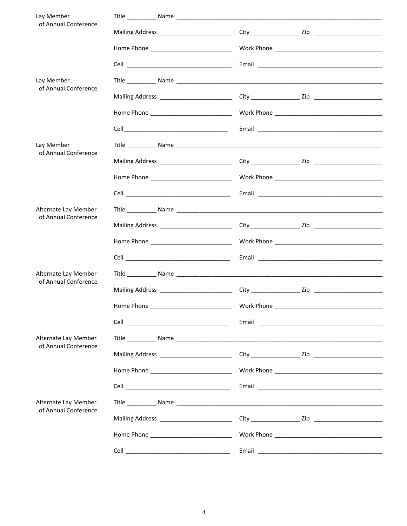| Lay Member                                   |                                                                                                                              |                                                                                                                |
|----------------------------------------------|------------------------------------------------------------------------------------------------------------------------------|----------------------------------------------------------------------------------------------------------------|
| of Annual Conference                         |                                                                                                                              |                                                                                                                |
|                                              |                                                                                                                              |                                                                                                                |
|                                              |                                                                                                                              |                                                                                                                |
|                                              |                                                                                                                              |                                                                                                                |
| Lay Member<br>of Annual Conference           |                                                                                                                              |                                                                                                                |
|                                              |                                                                                                                              |                                                                                                                |
|                                              |                                                                                                                              |                                                                                                                |
|                                              |                                                                                                                              |                                                                                                                |
| Lay Member<br>of Annual Conference           |                                                                                                                              |                                                                                                                |
|                                              |                                                                                                                              |                                                                                                                |
|                                              |                                                                                                                              |                                                                                                                |
|                                              |                                                                                                                              |                                                                                                                |
| Alternate Lay Member                         |                                                                                                                              |                                                                                                                |
| of Annual Conference                         |                                                                                                                              |                                                                                                                |
|                                              |                                                                                                                              |                                                                                                                |
|                                              |                                                                                                                              |                                                                                                                |
| Alternate Lay Member                         |                                                                                                                              |                                                                                                                |
| of Annual Conference                         |                                                                                                                              |                                                                                                                |
|                                              |                                                                                                                              |                                                                                                                |
|                                              |                                                                                                                              | Email 2008 2009 2009 2010 2021 2022 2023 2024 2022 2023 2024 2022 2023 2024 2022 2023 2024 2025 2026 2027 2028 |
| Alternate Lay Member                         |                                                                                                                              |                                                                                                                |
| of Annual Conference                         |                                                                                                                              |                                                                                                                |
|                                              |                                                                                                                              |                                                                                                                |
|                                              |                                                                                                                              |                                                                                                                |
| Alternate Lay Member<br>of Annual Conference |                                                                                                                              |                                                                                                                |
|                                              |                                                                                                                              |                                                                                                                |
|                                              |                                                                                                                              |                                                                                                                |
|                                              |                                                                                                                              |                                                                                                                |
|                                              | Cell<br><u> 1989 - Johann John Stone, markin film yn y brenin y brenin y brenin y brenin y brenin y brenin y brenin y br</u> |                                                                                                                |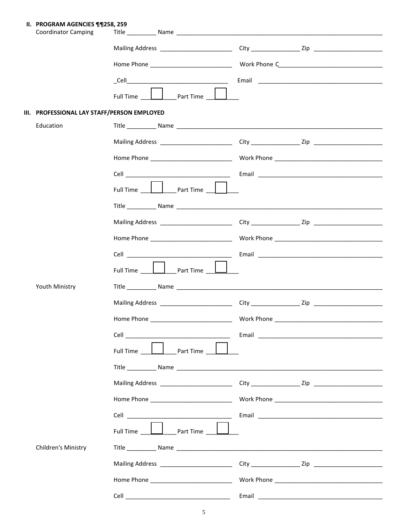II. PROGRAM AGENCIES ¶¶258, 259

| <b>Coordinator Camping</b>                  |                                                   |                                                                  |
|---------------------------------------------|---------------------------------------------------|------------------------------------------------------------------|
|                                             | Mailing Address _________________________         |                                                                  |
|                                             |                                                   |                                                                  |
|                                             |                                                   | Email <b>Executive Communication</b> Communication Communication |
|                                             | Full Time <b>Letter</b> Part Time <sub>Lett</sub> |                                                                  |
| III. PROFESSIONAL LAY STAFF/PERSON EMPLOYED |                                                   |                                                                  |
| Education                                   |                                                   |                                                                  |
|                                             |                                                   |                                                                  |
|                                             |                                                   |                                                                  |
|                                             |                                                   |                                                                  |
|                                             | Full Time <b>Example 2</b> Part Time <sub>2</sub> |                                                                  |
|                                             |                                                   |                                                                  |
|                                             |                                                   |                                                                  |
|                                             |                                                   |                                                                  |
|                                             |                                                   |                                                                  |
|                                             |                                                   |                                                                  |
|                                             |                                                   |                                                                  |
| Youth Ministry                              |                                                   |                                                                  |
|                                             |                                                   |                                                                  |
|                                             |                                                   |                                                                  |
|                                             |                                                   |                                                                  |
|                                             |                                                   |                                                                  |
|                                             |                                                   |                                                                  |
|                                             |                                                   |                                                                  |
|                                             |                                                   |                                                                  |
|                                             |                                                   |                                                                  |
|                                             | Full Time <u>        part Time      </u>          |                                                                  |
| Children's Ministry                         |                                                   |                                                                  |
|                                             |                                                   |                                                                  |
|                                             |                                                   |                                                                  |
|                                             |                                                   |                                                                  |